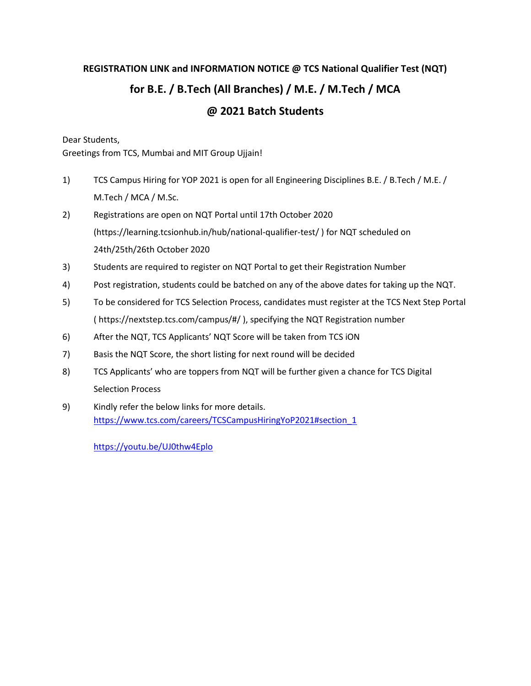# **REGISTRATION LINK and INFORMATION NOTICE @ TCS National Qualifier Test (NQT) for B.E. / B.Tech (All Branches) / M.E. / M.Tech / MCA @ 2021 Batch Students**

Dear Students,

Greetings from TCS, Mumbai and MIT Group Ujjain!

- 1) TCS Campus Hiring for YOP 2021 is open for all Engineering Disciplines B.E. / B.Tech / M.E. / M.Tech / MCA / M.Sc.
- 2) Registrations are open on NQT Portal until 17th October 2020 (https://learning.tcsionhub.in/hub/national-qualifier-test/ ) for NQT scheduled on 24th/25th/26th October 2020
- 3) Students are required to register on NQT Portal to get their Registration Number
- 4) Post registration, students could be batched on any of the above dates for taking up the NQT.
- 5) To be considered for TCS Selection Process, candidates must register at the TCS Next Step Portal ( https://nextstep.tcs.com/campus/#/ ), specifying the NQT Registration number
- 6) After the NQT, TCS Applicants' NQT Score will be taken from TCS iON
- 7) Basis the NQT Score, the short listing for next round will be decided
- 8) TCS Applicants' who are toppers from NQT will be further given a chance for TCS Digital Selection Process
- 9) Kindly refer the below links for more details. https://www.tcs.com/careers/TCSCampusHiringYoP2021#section\_1

https://youtu.be/UJ0thw4Eplo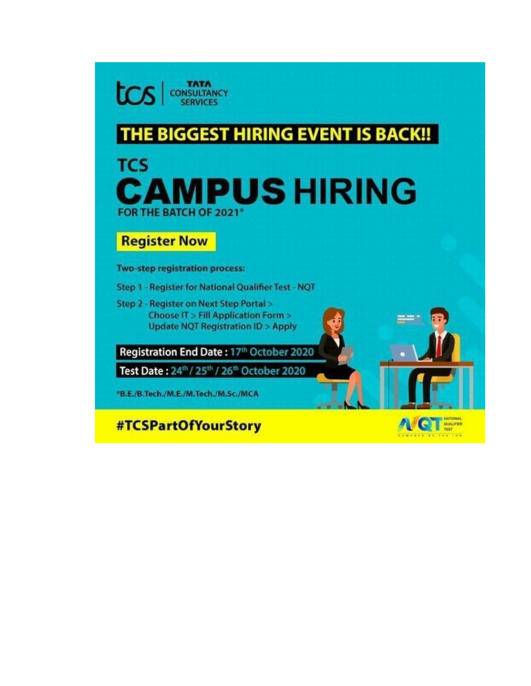**TATA**<br>CONSULTANCY tcs **SERVICES** 

# THE BIGGEST HIRING EVENT IS BACK !!

# **TCS AMPUS HIRING** FOR THE BATCH OF 2021\*

# **Register Now**

Two-step registration process:

Step 1 - Register for National Qualifier Test - NQT

Step 2 - Register on Next Step Portal > Choose IT > Fill Application Form > **Update NQT Registration ID > Apply** 

Registration End Date: 17th October 2020

Test Date: 24th / 25th / 26th October 2020

\*B.E./B.Tech./M.E./M.Tech./M.Sc./MCA

#TCSPartOfYourStory

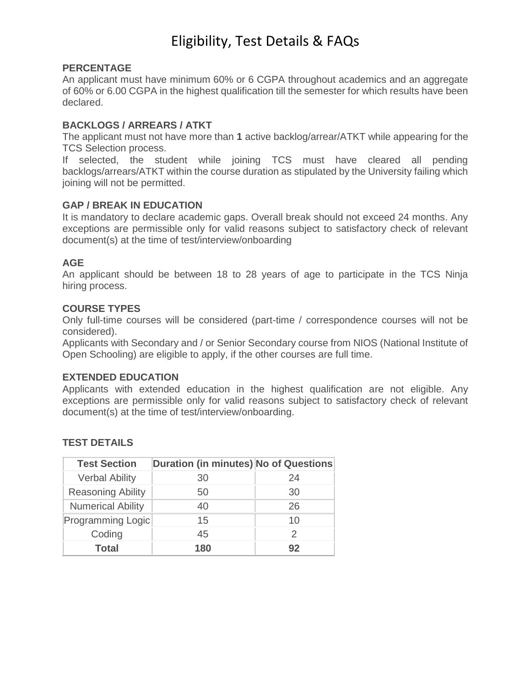#### **PERCENTAGE**

An applicant must have minimum 60% or 6 CGPA throughout academics and an aggregate of 60% or 6.00 CGPA in the highest qualification till the semester for which results have been declared.

# **BACKLOGS / ARREARS / ATKT**

The applicant must not have more than **1** active backlog/arrear/ATKT while appearing for the TCS Selection process.

If selected, the student while joining TCS must have cleared all pending backlogs/arrears/ATKT within the course duration as stipulated by the University failing which joining will not be permitted.

### **GAP / BREAK IN EDUCATION**

It is mandatory to declare academic gaps. Overall break should not exceed 24 months. Any exceptions are permissible only for valid reasons subject to satisfactory check of relevant document(s) at the time of test/interview/onboarding

### **AGE**

An applicant should be between 18 to 28 years of age to participate in the TCS Ninja hiring process.

#### **COURSE TYPES**

Only full-time courses will be considered (part-time / correspondence courses will not be considered).

Applicants with Secondary and / or Senior Secondary course from NIOS (National Institute of Open Schooling) are eligible to apply, if the other courses are full time.

### **EXTENDED EDUCATION**

Applicants with extended education in the highest qualification are not eligible. Any exceptions are permissible only for valid reasons subject to satisfactory check of relevant document(s) at the time of test/interview/onboarding.

#### **TEST DETAILS**

| <b>Test Section</b>      | <b>Duration (in minutes) No of Questions</b> |    |
|--------------------------|----------------------------------------------|----|
| <b>Verbal Ability</b>    | 30                                           | 24 |
| <b>Reasoning Ability</b> | 50                                           | 30 |
| <b>Numerical Ability</b> | 40                                           | 26 |
| Programming Logic        | 15                                           | 10 |
| Coding                   | 45                                           |    |
| <b>Total</b>             | 180                                          | 92 |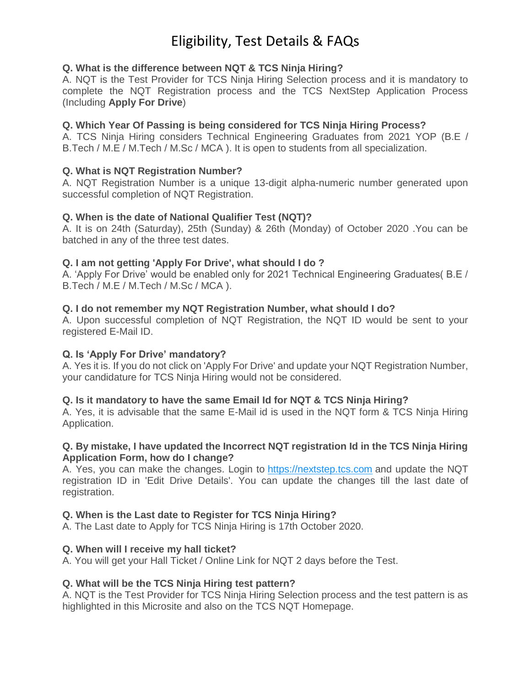# **Q. What is the difference between NQT & TCS Ninja Hiring?**

A. NQT is the Test Provider for TCS Ninja Hiring Selection process and it is mandatory to complete the NQT Registration process and the TCS NextStep Application Process (Including **Apply For Drive**)

# **Q. Which Year Of Passing is being considered for TCS Ninja Hiring Process?**

A. TCS Ninja Hiring considers Technical Engineering Graduates from 2021 YOP (B.E / B.Tech / M.E / M.Tech / M.Sc / MCA ). It is open to students from all specialization.

# **Q. What is NQT Registration Number?**

A. NQT Registration Number is a unique 13-digit alpha-numeric number generated upon successful completion of NQT Registration.

# **Q. When is the date of National Qualifier Test (NQT)?**

A. It is on 24th (Saturday), 25th (Sunday) & 26th (Monday) of October 2020 .You can be batched in any of the three test dates.

# **Q. I am not getting 'Apply For Drive', what should I do ?**

A. 'Apply For Drive' would be enabled only for 2021 Technical Engineering Graduates( B.E / B.Tech / M.E / M.Tech / M.Sc / MCA ).

# **Q. I do not remember my NQT Registration Number, what should I do?**

A. Upon successful completion of NQT Registration, the NQT ID would be sent to your registered E-Mail ID.

# **Q. Is 'Apply For Drive' mandatory?**

A. Yes it is. If you do not click on 'Apply For Drive' and update your NQT Registration Number, your candidature for TCS Ninja Hiring would not be considered.

### **Q. Is it mandatory to have the same Email Id for NQT & TCS Ninja Hiring?**

A. Yes, it is advisable that the same E-Mail id is used in the NQT form & TCS Ninja Hiring Application.

# **Q. By mistake, I have updated the Incorrect NQT registration Id in the TCS Ninja Hiring Application Form, how do I change?**

A. Yes, you can make the changes. Login to [https://nextstep.tcs.com](https://nextstep.tcs.com/) and update the NQT registration ID in 'Edit Drive Details'. You can update the changes till the last date of registration.

### **Q. When is the Last date to Register for TCS Ninja Hiring?**

A. The Last date to Apply for TCS Ninja Hiring is 17th October 2020.

# **Q. When will I receive my hall ticket?**

A. You will get your Hall Ticket / Online Link for NQT 2 days before the Test.

### **Q. What will be the TCS Ninja Hiring test pattern?**

A. NQT is the Test Provider for TCS Ninja Hiring Selection process and the test pattern is as highlighted in this Microsite and also on the TCS NQT Homepage.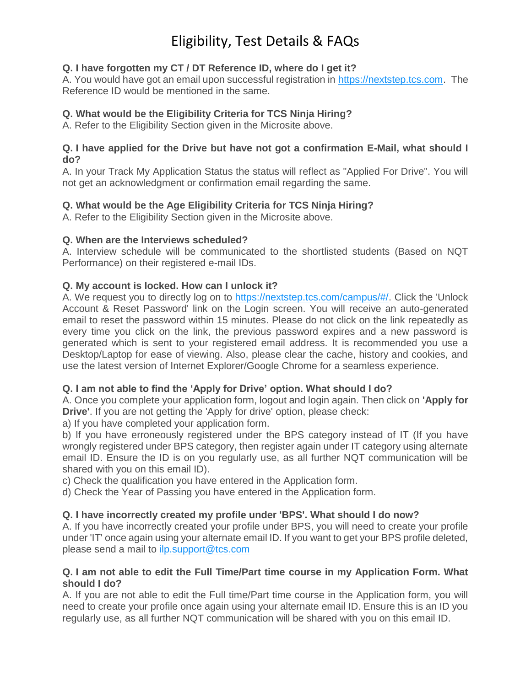# **Q. I have forgotten my CT / DT Reference ID, where do I get it?**

A. You would have got an email upon successful registration in [https://nextstep.tcs.com.](https://nextstep.tcs.com/) The Reference ID would be mentioned in the same.

# **Q. What would be the Eligibility Criteria for TCS Ninja Hiring?**

A. Refer to the Eligibility Section given in the Microsite above.

# **Q. I have applied for the Drive but have not got a confirmation E-Mail, what should I do?**

A. In your Track My Application Status the status will reflect as "Applied For Drive". You will not get an acknowledgment or confirmation email regarding the same.

# **Q. What would be the Age Eligibility Criteria for TCS Ninja Hiring?**

A. Refer to the Eligibility Section given in the Microsite above.

# **Q. When are the Interviews scheduled?**

A. Interview schedule will be communicated to the shortlisted students (Based on NQT Performance) on their registered e-mail IDs.

# **Q. My account is locked. How can I unlock it?**

A. We request you to directly log on to [https://nextstep.tcs.com/campus/#/.](https://nextstep.tcs.com/campus/#/) Click the 'Unlock Account & Reset Password' link on the Login screen. You will receive an auto-generated email to reset the password within 15 minutes. Please do not click on the link repeatedly as every time you click on the link, the previous password expires and a new password is generated which is sent to your registered email address. It is recommended you use a Desktop/Laptop for ease of viewing. Also, please clear the cache, history and cookies, and use the latest version of Internet Explorer/Google Chrome for a seamless experience.

# **Q. I am not able to find the 'Apply for Drive' option. What should I do?**

A. Once you complete your application form, logout and login again. Then click on **'Apply for Drive'**. If you are not getting the 'Apply for drive' option, please check:

a) If you have completed your application form.

b) If you have erroneously registered under the BPS category instead of IT (If you have wrongly registered under BPS category, then register again under IT category using alternate email ID. Ensure the ID is on you regularly use, as all further NQT communication will be shared with you on this email ID).

c) Check the qualification you have entered in the Application form.

d) Check the Year of Passing you have entered in the Application form.

# **Q. I have incorrectly created my profile under 'BPS'. What should I do now?**

A. If you have incorrectly created your profile under BPS, you will need to create your profile under 'IT' once again using your alternate email ID. If you want to get your BPS profile deleted, please send a mail to [ilp.support@tcs.com](mailto:ilp.support@tcs.com)

# **Q. I am not able to edit the Full Time/Part time course in my Application Form. What should I do?**

A. If you are not able to edit the Full time/Part time course in the Application form, you will need to create your profile once again using your alternate email ID. Ensure this is an ID you regularly use, as all further NQT communication will be shared with you on this email ID.